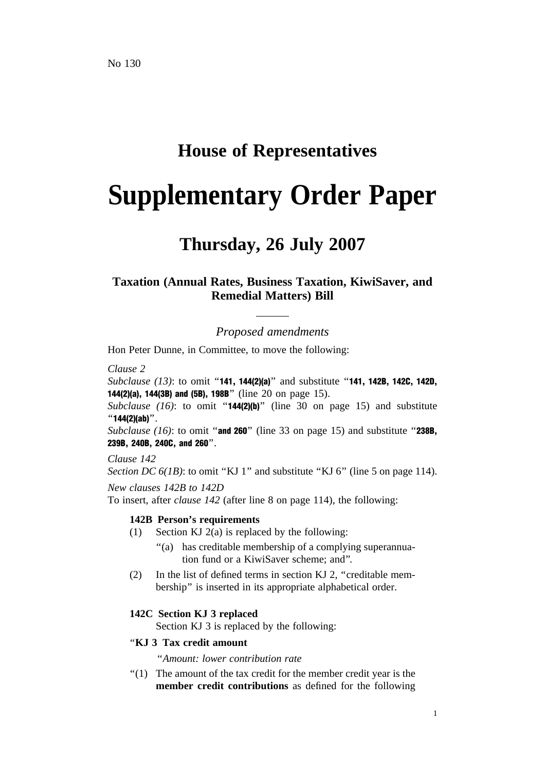# **House of Representatives**

# **Supplementary Order Paper**

# **Thursday, 26 July 2007**

# **Taxation (Annual Rates, Business Taxation, KiwiSaver, and Remedial Matters) Bill**

*Proposed amendments*

Hon Peter Dunne, in Committee, to move the following:

*Clause 2*

*Subclause (13)*: to omit ''141, 144(2)(a)'' and substitute ''141, 142B, 142C, 142D, 144(2)(a), 144(3B) and (5B), 198B'' (line 20 on page 15).

*Subclause (16)*: to omit ''144(2)(b)'' (line 30 on page 15) and substitute  $"144(2)(ab)"$ .

*Subclause (16)*: to omit "and 260" (line 33 on page 15) and substitute "238B, 239B, 240B, 240C, and 260''.

*Clause 142*

*Section DC 6(1B)*: to omit "KJ 1" and substitute "KJ 6" (line 5 on page 114). *New clauses 142B to 142D*

To insert, after *clause 142* (after line 8 on page 114), the following:

## **142B Person's requirements**

- (1) Section KJ  $2(a)$  is replaced by the following:
	- ''(a) has creditable membership of a complying superannuation fund or a KiwiSaver scheme; and''.
- (2) In the list of defined terms in section KJ 2, "creditable membership'' is inserted in its appropriate alphabetical order.

## **142C Section KJ 3 replaced**

Section KJ 3 is replaced by the following:

# ''**KJ 3 Tax credit amount**

''*Amount: lower contribution rate*

''(1) The amount of the tax credit for the member credit year is the **member credit contributions** as defined for the following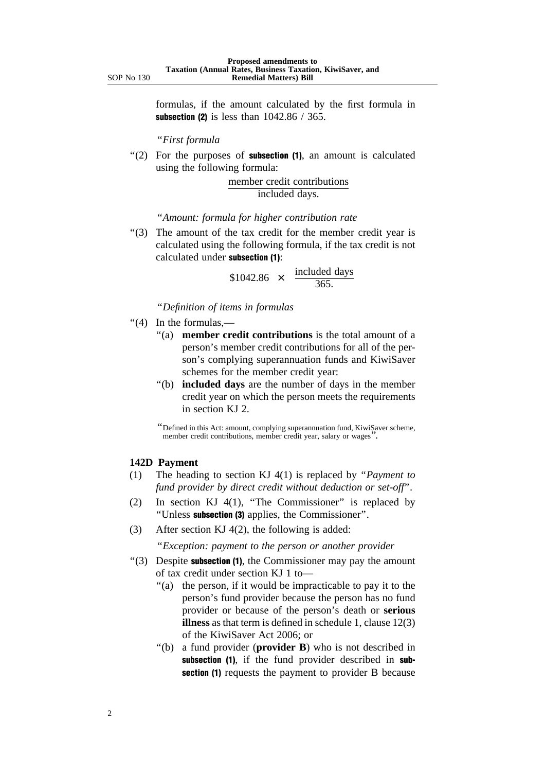formulas, if the amount calculated by the first formula in subsection (2) is less than  $1042.86 / 365$ .

''*First formula*

 $'(2)$  For the purposes of **subsection (1)**, an amount is calculated using the following formula:

> member credit contributions included days.

''*Amount: formula for higher contribution rate*

''(3) The amount of the tax credit for the member credit year is calculated using the following formula, if the tax credit is not calculated under subsection (1):

> $$1042.86 \times \frac{\text{included days}}{\text{?}}$ 365.

''*Definition of items in formulas*

- ''(4) In the formulas,—
	- ''(a) **member credit contributions** is the total amount of a person's member credit contributions for all of the person's complying superannuation funds and KiwiSaver schemes for the member credit year:
	- ''(b) **included days** are the number of days in the member credit year on which the person meets the requirements in section KJ 2.

''Defined in this Act: amount, complying superannuation fund, KiwiSaver scheme, member credit contributions, member credit year, salary or wages".

#### **142D Payment**

- (1) The heading to section KJ 4(1) is replaced by ''*Payment to fund provider by direct credit without deduction or set-off*''.
- (2) In section KJ  $4(1)$ , "The Commissioner" is replaced by ''Unless subsection (3) applies, the Commissioner''.
- (3) After section KJ 4(2), the following is added:

''*Exception: payment to the person or another provider*

- ''(3) Despite subsection (1), the Commissioner may pay the amount of tax credit under section KJ 1 to—
	- "(a) the person, if it would be impracticable to pay it to the person's fund provider because the person has no fund provider or because of the person's death or **serious illness** as that term is defined in schedule 1, clause 12(3) of the KiwiSaver Act 2006; or
	- ''(b) a fund provider (**provider B**) who is not described in subsection (1), if the fund provider described in subsection (1) requests the payment to provider B because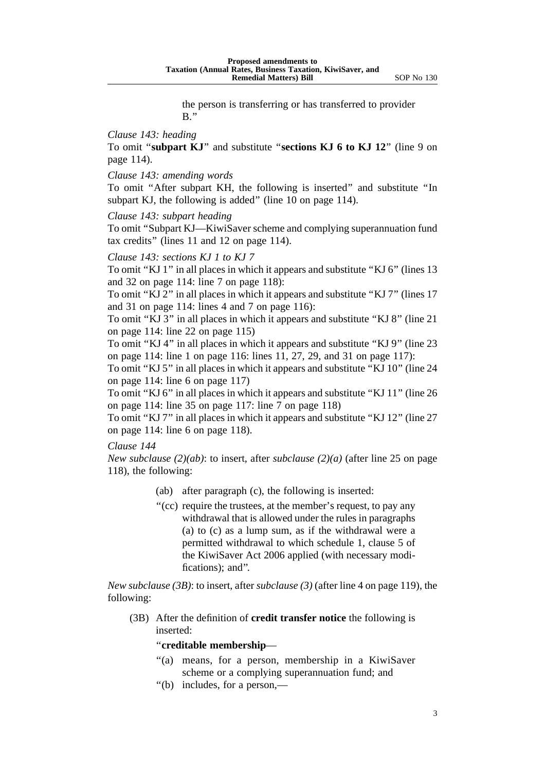the person is transferring or has transferred to provider  $B$ ."

# *Clause 143: heading*

To omit ''**subpart KJ**'' and substitute ''**sections KJ 6 to KJ 12**'' (line 9 on page 114).

*Clause 143: amending words*

To omit ''After subpart KH, the following is inserted'' and substitute ''In subpart KJ, the following is added" (line 10 on page 114).

*Clause 143: subpart heading*

To omit ''Subpart KJ—KiwiSaver scheme and complying superannuation fund tax credits'' (lines 11 and 12 on page 114).

#### *Clause 143: sections KJ 1 to KJ 7*

To omit "KJ 1" in all places in which it appears and substitute "KJ 6" (lines 13) and 32 on page 114: line 7 on page 118):

To omit ''KJ 2'' in all places in which it appears and substitute ''KJ 7'' (lines 17 and 31 on page 114: lines 4 and 7 on page 116):

To omit ''KJ 3'' in all places in which it appears and substitute ''KJ 8'' (line 21 on page 114: line 22 on page 115)

To omit ''KJ 4'' in all places in which it appears and substitute ''KJ 9'' (line 23 on page 114: line 1 on page 116: lines 11, 27, 29, and 31 on page 117):

To omit "KJ 5" in all places in which it appears and substitute "KJ 10" (line 24) on page 114: line 6 on page 117)

To omit ''KJ 6'' in all places in which it appears and substitute ''KJ 11'' (line 26 on page 114: line 35 on page 117: line 7 on page 118)

To omit ''KJ 7'' in all places in which it appears and substitute ''KJ 12'' (line 27 on page 114: line 6 on page 118).

## *Clause 144*

*New subclause (2)(ab)*: to insert, after *subclause (2)(a)* (after line 25 on page 118), the following:

- (ab) after paragraph (c), the following is inserted:
- "(cc) require the trustees, at the member's request, to pay any withdrawal that is allowed under the rules in paragraphs (a) to (c) as a lump sum, as if the withdrawal were a permitted withdrawal to which schedule 1, clause 5 of the KiwiSaver Act 2006 applied (with necessary modifications); and''.

*New subclause (3B)*: to insert, after *subclause (3)* (after line 4 on page 119), the following:

(3B) After the definition of **credit transfer notice** the following is inserted:

#### ''**creditable membership**—

- "(a) means, for a person, membership in a KiwiSaver scheme or a complying superannuation fund; and
- ''(b) includes, for a person,—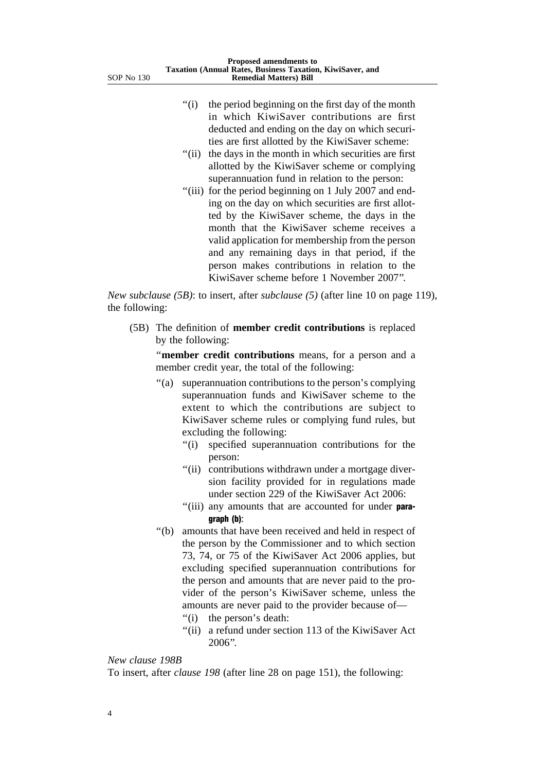- "(i) the period beginning on the first day of the month in which KiwiSaver contributions are first deducted and ending on the day on which securities are first allotted by the KiwiSaver scheme:
- "(ii) the days in the month in which securities are first allotted by the KiwiSaver scheme or complying superannuation fund in relation to the person:
- "(iii) for the period beginning on 1 July 2007 and ending on the day on which securities are first allotted by the KiwiSaver scheme, the days in the month that the KiwiSaver scheme receives a valid application for membership from the person and any remaining days in that period, if the person makes contributions in relation to the KiwiSaver scheme before 1 November 2007''.

*New subclause (5B)*: to insert, after *subclause (5)* (after line 10 on page 119), the following:

(5B) The definition of **member credit contributions** is replaced by the following:

"member credit contributions means, for a person and a member credit year, the total of the following:

- ''(a) superannuation contributions to the person's complying superannuation funds and KiwiSaver scheme to the extent to which the contributions are subject to KiwiSaver scheme rules or complying fund rules, but excluding the following:
	- ''(i) specified superannuation contributions for the person:
	- "(ii) contributions withdrawn under a mortgage diversion facility provided for in regulations made under section 229 of the KiwiSaver Act 2006:
	- "(iii) any amounts that are accounted for under paragraph (b):
- ''(b) amounts that have been received and held in respect of the person by the Commissioner and to which section 73, 74, or 75 of the KiwiSaver Act 2006 applies, but excluding specified superannuation contributions for the person and amounts that are never paid to the provider of the person's KiwiSaver scheme, unless the amounts are never paid to the provider because of—
	- "(i) the person's death:
	- ''(ii) a refund under section 113 of the KiwiSaver Act 2006''.

# *New clause 198B*

To insert, after *clause 198* (after line 28 on page 151), the following: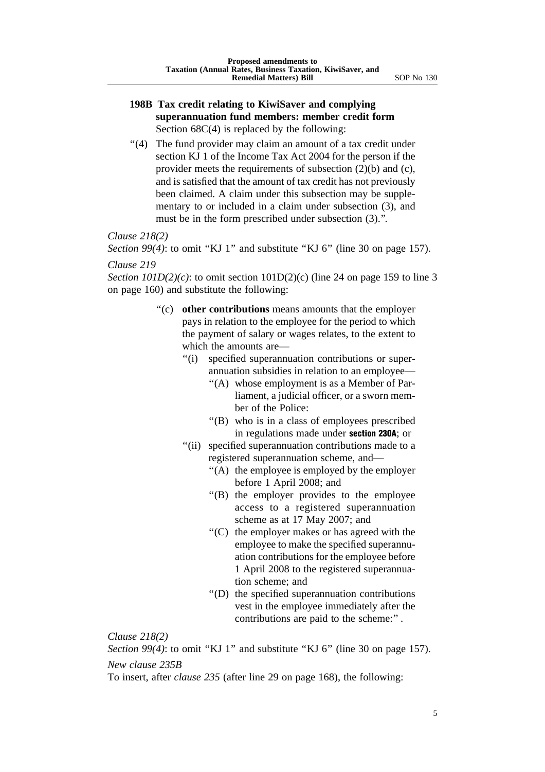# **198B Tax credit relating to KiwiSaver and complying superannuation fund members: member credit form** Section  $68C(4)$  is replaced by the following:

"(4) The fund provider may claim an amount of a tax credit under section KJ 1 of the Income Tax Act 2004 for the person if the provider meets the requirements of subsection (2)(b) and (c), and is satisfied that the amount of tax credit has not previously been claimed. A claim under this subsection may be supplementary to or included in a claim under subsection (3), and must be in the form prescribed under subsection (3).''.

*Clause 218(2)*

*Section 99(4)*: to omit "KJ 1" and substitute "KJ 6" (line 30 on page 157).

# *Clause 219*

*Section 101D(2)(c)*: to omit section 101D(2)(c) (line 24 on page 159 to line 3 on page 160) and substitute the following:

- ''(c) **other contributions** means amounts that the employer pays in relation to the employee for the period to which the payment of salary or wages relates, to the extent to which the amounts are—
	- ''(i) specified superannuation contributions or superannuation subsidies in relation to an employee—
		- ''(A) whose employment is as a Member of Parliament, a judicial officer, or a sworn member of the Police:
		- ''(B) who is in a class of employees prescribed in regulations made under section 230A; or
	- "(ii) specified superannuation contributions made to a registered superannuation scheme, and—
		- ''(A) the employee is employed by the employer before 1 April 2008; and
		- ''(B) the employer provides to the employee access to a registered superannuation scheme as at 17 May 2007; and
		- ''(C) the employer makes or has agreed with the employee to make the specified superannuation contributions for the employee before 1 April 2008 to the registered superannuation scheme; and
		- ''(D) the specified superannuation contributions vest in the employee immediately after the contributions are paid to the scheme:".

*Clause 218(2)*

*Section 99(4)*: to omit "KJ 1" and substitute "KJ 6" (line 30 on page 157). *New clause 235B*

To insert, after *clause 235* (after line 29 on page 168), the following: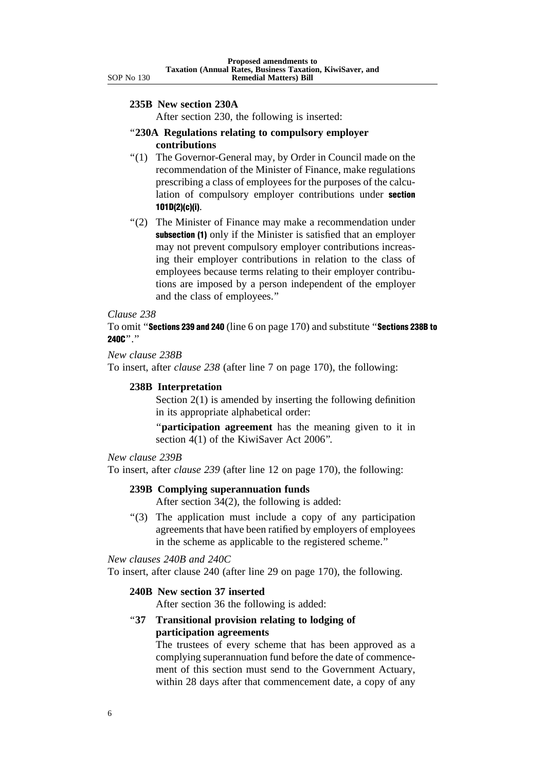#### **235B New section 230A**

After section 230, the following is inserted:

- ''**230A Regulations relating to compulsory employer contributions**
- ''(1) The Governor-General may, by Order in Council made on the recommendation of the Minister of Finance, make regulations prescribing a class of employees for the purposes of the calculation of compulsory employer contributions under section 101D(2)(c)(i).
- "(2) The Minister of Finance may make a recommendation under subsection (1) only if the Minister is satisfied that an employer may not prevent compulsory employer contributions increasing their employer contributions in relation to the class of employees because terms relating to their employer contributions are imposed by a person independent of the employer and the class of employees.''

#### *Clause 238*

To omit ''Sections 239 and 240 (line 6 on page 170) and substitute ''Sections 238B to 240C<sup>"</sup>

# *New clause 238B*

To insert, after *clause 238* (after line 7 on page 170), the following:

## **238B Interpretation**

Section 2(1) is amended by inserting the following definition in its appropriate alphabetical order:

''**participation agreement** has the meaning given to it in section 4(1) of the KiwiSaver Act 2006".

# *New clause 239B*

To insert, after *clause 239* (after line 12 on page 170), the following:

# **239B Complying superannuation funds**

After section 34(2), the following is added:

''(3) The application must include a copy of any participation agreements that have been ratified by employers of employees in the scheme as applicable to the registered scheme.''

*New clauses 240B and 240C*

To insert, after clause 240 (after line 29 on page 170), the following.

# **240B New section 37 inserted**

After section 36 the following is added:

# ''**37 Transitional provision relating to lodging of participation agreements**

The trustees of every scheme that has been approved as a complying superannuation fund before the date of commencement of this section must send to the Government Actuary, within 28 days after that commencement date, a copy of any